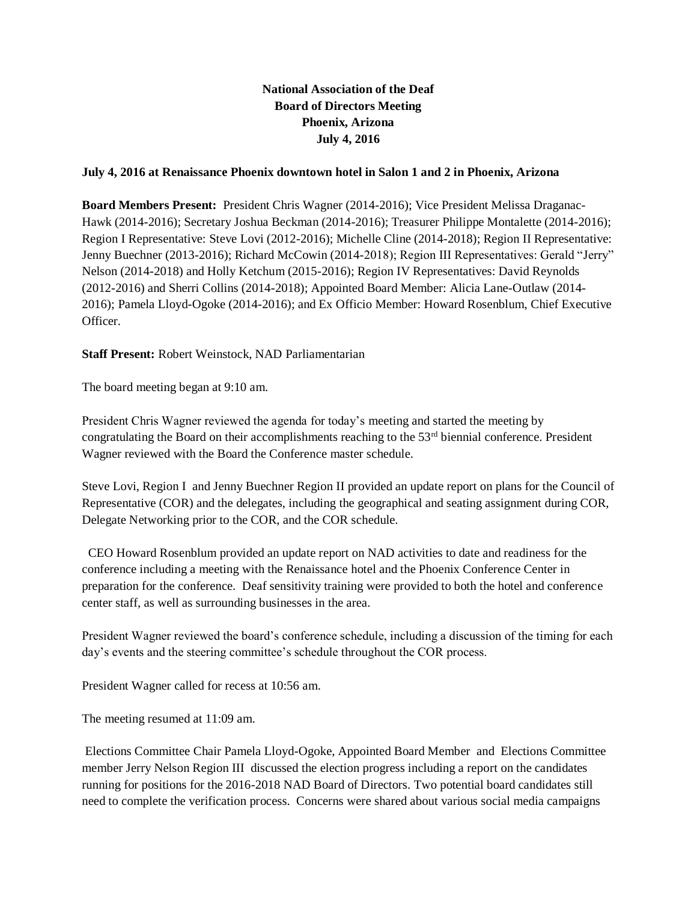## **National Association of the Deaf Board of Directors Meeting Phoenix, Arizona July 4, 2016**

## **July 4, 2016 at Renaissance Phoenix downtown hotel in Salon 1 and 2 in Phoenix, Arizona**

**Board Members Present:** President Chris Wagner (2014-2016); Vice President Melissa Draganac-Hawk (2014-2016); Secretary Joshua Beckman (2014-2016); Treasurer Philippe Montalette (2014-2016); Region I Representative: Steve Lovi (2012-2016); Michelle Cline (2014-2018); Region II Representative: Jenny Buechner (2013-2016); Richard McCowin (2014-2018); Region III Representatives: Gerald "Jerry" Nelson (2014-2018) and Holly Ketchum (2015-2016); Region IV Representatives: David Reynolds (2012-2016) and Sherri Collins (2014-2018); Appointed Board Member: Alicia Lane-Outlaw (2014- 2016); Pamela Lloyd-Ogoke (2014-2016); and Ex Officio Member: Howard Rosenblum, Chief Executive Officer.

## **Staff Present:** Robert Weinstock, NAD Parliamentarian

The board meeting began at 9:10 am.

President Chris Wagner reviewed the agenda for today's meeting and started the meeting by congratulating the Board on their accomplishments reaching to the  $53<sup>rd</sup>$  biennial conference. President Wagner reviewed with the Board the Conference master schedule.

Steve Lovi, Region I and Jenny Buechner Region II provided an update report on plans for the Council of Representative (COR) and the delegates, including the geographical and seating assignment during COR, Delegate Networking prior to the COR, and the COR schedule.

 CEO Howard Rosenblum provided an update report on NAD activities to date and readiness for the conference including a meeting with the Renaissance hotel and the Phoenix Conference Center in preparation for the conference. Deaf sensitivity training were provided to both the hotel and conference center staff, as well as surrounding businesses in the area.

President Wagner reviewed the board's conference schedule, including a discussion of the timing for each day's events and the steering committee's schedule throughout the COR process.

President Wagner called for recess at 10:56 am.

The meeting resumed at 11:09 am.

Elections Committee Chair Pamela Lloyd-Ogoke, Appointed Board Member and Elections Committee member Jerry Nelson Region III discussed the election progress including a report on the candidates running for positions for the 2016-2018 NAD Board of Directors. Two potential board candidates still need to complete the verification process. Concerns were shared about various social media campaigns